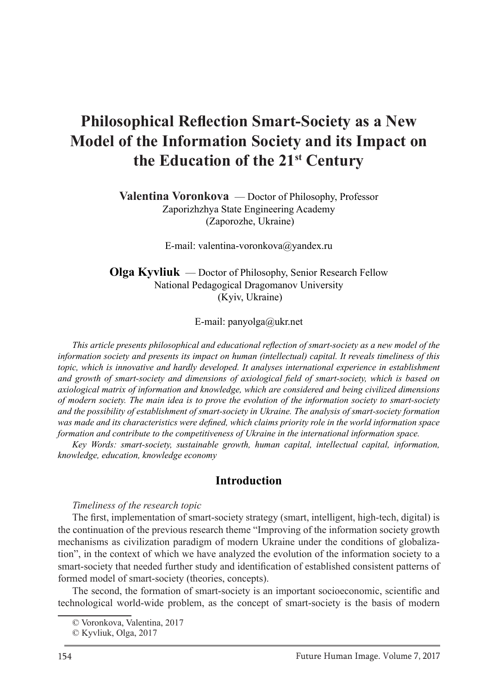# **Philosophical Reflection Smart-Society as a New Model of the Information Society and its Impact on the Education of the 21st Century**

**Valentina Voronkova** — Doctor of Philosophy, Professor Zaporizhzhya State Engineering Academy (Zaporozhe, Ukraine)

E-mail: valentina-voronkova@yandex.ru

#### **Olga Kyvliuk** — Doctor of Philosophy, Senior Research Fellow National Pedagogical Dragomanov University (Kyiv, Ukraine)

E-mail: panyolga@ukr.net

*This article presents philosophical and educational reflection of smart-society as a new model of the information society and presents its impact on human (intellectual) capital. It reveals timeliness of this topic, which is innovative and hardly developed. It analyses international experience in establishment and growth of smart-society and dimensions of axiological field of smart-society, which is based on axiological matrix of information and knowledge, which are considered and being civilized dimensions of modern society. The main idea is to prove the evolution of the information society to smart-society and the possibility of establishment of smart-society in Ukraine. The analysis of smart-society formation was made and its characteristics were defined, which claims priority role in the world information space formation and contribute to the competitiveness of Ukraine in the international information space.*

*Key Words: smart-society, sustainable growth, human capital, intellectual capital, information, knowledge, education, knowledge economy*

#### **Introduction**

*Timeliness of the research topic*

The first, implementation of smart-society strategy (smart, intelligent, high-tech, digital) is the continuation of the previous research theme "Improving of the information society growth mechanisms as civilization paradigm of modern Ukraine under the conditions of globalization", in the context of which we have analyzed the evolution of the information society to a smart-society that needed further study and identification of established consistent patterns of formed model of smart-society (theories, concepts).

The second, the formation of smart-society is an important socioeconomic, scientific and technological world-wide problem, as the concept of smart-society is the basis of modern

<sup>©</sup> Voronkova, Valentina, 2017

<sup>©</sup> Kyvliuk, Olga, 2017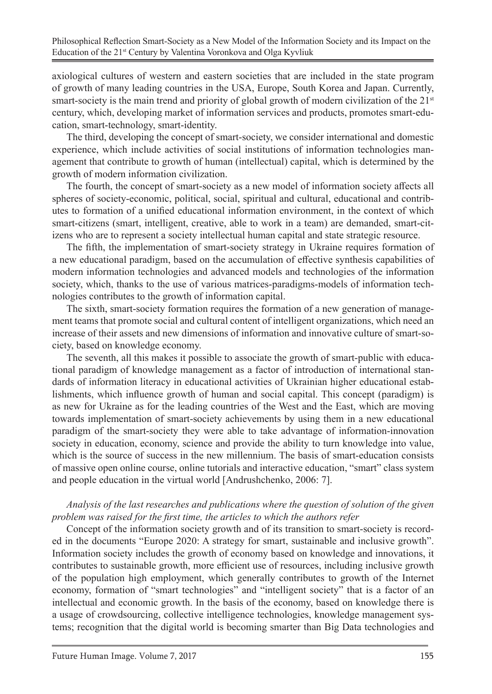axiological cultures of western and eastern societies that are included in the state program of growth of many leading countries in the USA, Europe, South Korea and Japan. Currently, smart-society is the main trend and priority of global growth of modern civilization of the  $21<sup>st</sup>$ century, which, developing market of information services and products, promotes smart-education, smart-technology, smart-identity.

The third, developing the concept of smart-society, we consider international and domestic experience, which include activities of social institutions of information technologies management that contribute to growth of human (intellectual) capital, which is determined by the growth of modern information civilization.

The fourth, the concept of smart-society as a new model of information society affects all spheres of society-economic, political, social, spiritual and cultural, educational and contributes to formation of a unified educational information environment, in the context of which smart-citizens (smart, intelligent, creative, able to work in a team) are demanded, smart-citizens who are to represent a society intellectual human capital and state strategic resource.

The fifth, the implementation of smart-society strategy in Ukraine requires formation of a new educational paradigm, based on the accumulation of effective synthesis capabilities of modern information technologies and advanced models and technologies of the information society, which, thanks to the use of various matrices-paradigms-models of information technologies contributes to the growth of information capital.

The sixth, smart-society formation requires the formation of a new generation of management teams that promote social and cultural content of intelligent organizations, which need an increase of their assets and new dimensions of information and innovative culture of smart-society, based on knowledge economy.

The seventh, all this makes it possible to associate the growth of smart-public with educational paradigm of knowledge management as a factor of introduction of international standards of information literacy in educational activities of Ukrainian higher educational establishments, which influence growth of human and social capital. This concept (paradigm) is as new for Ukraine as for the leading countries of the West and the East, which are moving towards implementation of smart-society achievements by using them in a new educational paradigm of the smart-society they were able to take advantage of information-innovation society in education, economy, science and provide the ability to turn knowledge into value, which is the source of success in the new millennium. The basis of smart-education consists of massive open online course, online tutorials and interactive education, "smart" class system and people education in the virtual world [Andrushchenko, 2006: 7].

#### *Analysis of the last researches and publications where the question of solution of the given problem was raised for the first time, the articles to which the authors refer*

Concept of the information society growth and of its transition to smart-society is recorded in the documents "Europe 2020: A strategy for smart, sustainable and inclusive growth". Information society includes the growth of economy based on knowledge and innovations, it contributes to sustainable growth, more efficient use of resources, including inclusive growth of the population high employment, which generally contributes to growth of the Internet economy, formation of "smart technologies" and "intelligent society" that is a factor of an intellectual and economic growth. In the basis of the economy, based on knowledge there is a usage of crowdsourcing, collective intelligence technologies, knowledge management systems; recognition that the digital world is becoming smarter than Big Data technologies and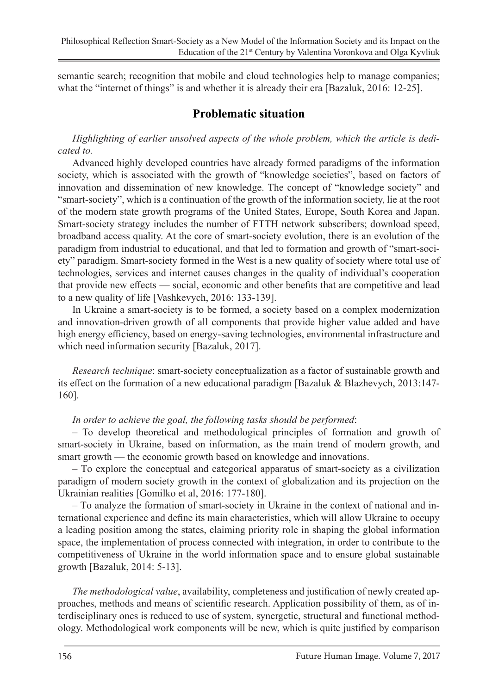semantic search; recognition that mobile and cloud technologies help to manage companies; what the "internet of things" is and whether it is already their era [Bazaluk, 2016: 12-25].

# **Problematic situation**

*Highlighting of earlier unsolved aspects of the whole problem, which the article is dedicated to.* 

Advanced highly developed countries have already formed paradigms of the information society, which is associated with the growth of "knowledge societies", based on factors of innovation and dissemination of new knowledge. The concept of "knowledge society" and "smart-society", which is a continuation of the growth of the information society, lie at the root of the modern state growth programs of the United States, Europe, South Korea and Japan. Smart-society strategy includes the number of FTTH network subscribers; download speed, broadband access quality. At the core of smart-society evolution, there is an evolution of the paradigm from industrial to educational, and that led to formation and growth of "smart-society" paradigm. Smart-society formed in the West is a new quality of society where total use of technologies, services and internet causes changes in the quality of individual's cooperation that provide new effects — social, economic and other benefits that are competitive and lead to a new quality of life [Vashkevych, 2016: 133-139].

In Ukraine a smart-society is to be formed, a society based on a complex modernization and innovation-driven growth of all components that provide higher value added and have high energy efficiency, based on energy-saving technologies, environmental infrastructure and which need information security [Bazaluk, 2017].

*Research technique*: smart-society conceptualization as a factor of sustainable growth and its effect on the formation of a new educational paradigm [Bazaluk & Blazhevych, 2013:147- 160].

#### *In order to achieve the goal, the following tasks should be performed*:

– To develop theoretical and methodological principles of formation and growth of smart-society in Ukraine, based on information, as the main trend of modern growth, and smart growth — the economic growth based on knowledge and innovations.

– Тo explore the conceptual and categorical apparatus of smart-society as a civilization paradigm of modern society growth in the context of globalization and its projection on the Ukrainian realities [Gomilko et al, 2016: 177-180].

– Тo analyze the formation of smart-society in Ukraine in the context of national and international experience and define its main characteristics, which will allow Ukraine to occupy a leading position among the states, claiming priority role in shaping the global information space, the implementation of process connected with integration, in order to contribute to the competitiveness of Ukraine in the world information space and to ensure global sustainable growth [Bazaluk, 2014: 5-13].

*The methodological value*, availability, completeness and justification of newly created approaches, methods and means of scientific research. Application possibility of them, as of interdisciplinary ones is reduced to use of system, synergetic, structural and functional methodology. Methodological work components will be new, which is quite justified by comparison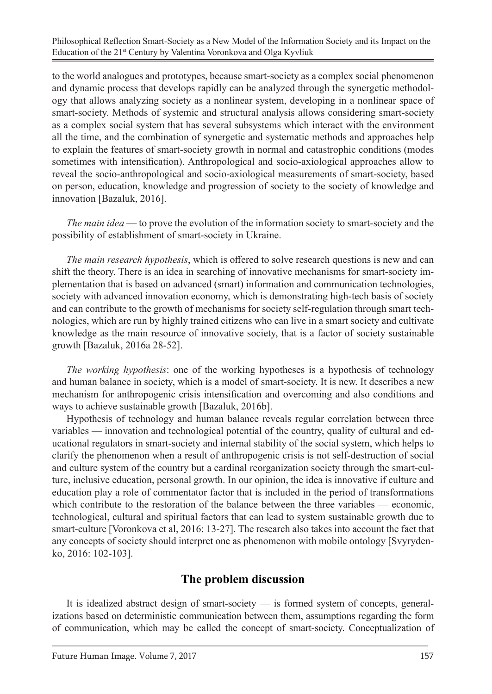Philosophical Reflection Smart-Society as a New Model of the Information Society and its Impact on the Education of the 21<sup>st</sup> Century by Valentina Voronkova and Olga Kyvliuk

to the world analogues and prototypes, because smart-society as a complex social phenomenon and dynamic process that develops rapidly can be analyzed through the synergetic methodology that allows analyzing society as a nonlinear system, developing in a nonlinear space of smart-society. Methods of systemic and structural analysis allows considering smart-society as a complex social system that has several subsystems which interact with the environment all the time, and the combination of synergetic and systematic methods and approaches help to explain the features of smart-society growth in normal and catastrophic conditions (modes sometimes with intensification). Anthropological and socio-axiological approaches allow to reveal the socio-anthropological and socio-axiological measurements of smart-society, based on person, education, knowledge and progression of society to the society of knowledge and innovation [Bazaluk, 2016].

*The main idea* — to prove the evolution of the information society to smart-society and the possibility of establishment of smart-society in Ukraine.

*The main research hypothesis*, which is offered to solve research questions is new and can shift the theory. There is an idea in searching of innovative mechanisms for smart-society implementation that is based on advanced (smart) information and communication technologies, society with advanced innovation economy, which is demonstrating high-tech basis of society and can contribute to the growth of mechanisms for society self-regulation through smart technologies, which are run by highly trained citizens who can live in a smart society and cultivate knowledge as the main resource of innovative society, that is a factor of society sustainable growth [Bazaluk, 2016а 28-52].

*The working hypothesis*: one of the working hypotheses is a hypothesis of technology and human balance in society, which is a model of smart-society. It is new. It describes a new mechanism for anthropogenic crisis intensification and overcoming and also conditions and ways to achieve sustainable growth [Bazaluk, 2016b].

Hypothesis of technology and human balance reveals regular correlation between three variables — innovation and technological potential of the country, quality of cultural and educational regulators in smart-society and internal stability of the social system, which helps to clarify the phenomenon when a result of anthropogenic crisis is not self-destruction of social and culture system of the country but a cardinal reorganization society through the smart-culture, inclusive education, personal growth. In our opinion, the idea is innovative if culture and education play a role of commentator factor that is included in the period of transformations which contribute to the restoration of the balance between the three variables — economic, technological, cultural and spiritual factors that can lead to system sustainable growth due to smart-culture [Voronkova et al, 2016: 13-27]. The research also takes into account the fact that any concepts of society should interpret one as phenomenon with mobile ontology [Svyrydenko, 2016: 102-103].

## **The problem discussion**

It is idealized abstract design of smart-society — is formed system of concepts, generalizations based on deterministic communication between them, assumptions regarding the form of communication, which may be called the concept of smart-society. Conceptualization of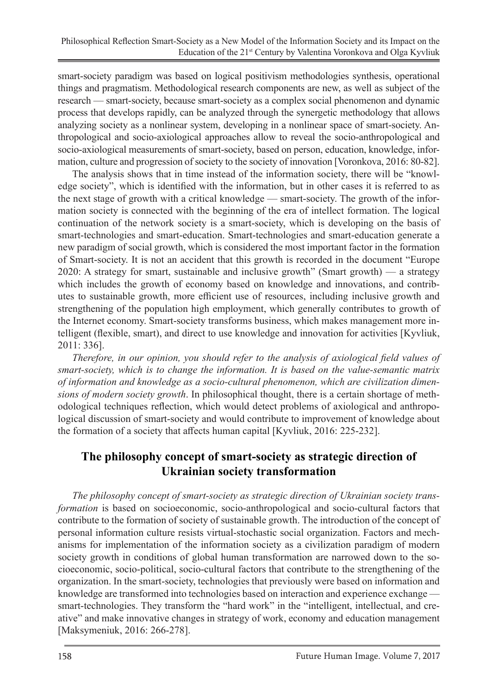smart-society paradigm was based on logical positivism methodologies synthesis, operational things and pragmatism. Methodological research components are new, as well as subject of the research — smart-society, because smart-society as a complex social phenomenon and dynamic process that develops rapidly, can be analyzed through the synergetic methodology that allows analyzing society as a nonlinear system, developing in a nonlinear space of smart-society. Anthropological and socio-axiological approaches allow to reveal the socio-anthropological and socio-axiological measurements of smart-society, based on person, education, knowledge, information, culture and progression of society to the society of innovation [Voronkova, 2016: 80-82].

The analysis shows that in time instead of the information society, there will be "knowledge society", which is identified with the information, but in other cases it is referred to as the next stage of growth with a critical knowledge — smart-society. The growth of the information society is connected with the beginning of the era of intellect formation. The logical continuation of the network society is a smart-society, which is developing on the basis of smart-technologies and smart-education. Smart-technologies and smart-education generate a new paradigm of social growth, which is considered the most important factor in the formation of Smart-society. It is not an accident that this growth is recorded in the document "Europe 2020: A strategy for smart, sustainable and inclusive growth" (Smart growth) — a strategy which includes the growth of economy based on knowledge and innovations, and contributes to sustainable growth, more efficient use of resources, including inclusive growth and strengthening of the population high employment, which generally contributes to growth of the Internet economy. Smart-society transforms business, which makes management more intelligent (flexible, smart), and direct to use knowledge and innovation for activities [Kyvliuk, 2011: 336].

*Therefore, in our opinion, you should refer to the analysis of axiological field values of smart-society, which is to change the information. It is based on the value-semantic matrix of information and knowledge as a socio-cultural phenomenon, which are civilization dimensions of modern society growth*. In philosophical thought, there is a certain shortage of methodological techniques reflection, which would detect problems of axiological and anthropological discussion of smart-society and would contribute to improvement of knowledge about the formation of a society that affects human capital [Kyvliuk, 2016: 225-232].

# **The philosophy concept of smart-society as strategic direction of Ukrainian society transformation**

*The philosophy concept of smart-society as strategic direction of Ukrainian society transformation* is based on socioeconomic, socio-anthropological and socio-cultural factors that contribute to the formation of society of sustainable growth. The introduction of the concept of personal information culture resists virtual-stochastic social organization. Factors and mechanisms for implementation of the information society as a civilization paradigm of modern society growth in conditions of global human transformation are narrowed down to the socioeconomic, socio-political, socio-cultural factors that contribute to the strengthening of the organization. In the smart-society, technologies that previously were based on information and knowledge are transformed into technologies based on interaction and experience exchange smart-technologies. They transform the "hard work" in the "intelligent, intellectual, and creative" and make innovative changes in strategy of work, economy and education management [Maksymeniuk, 2016: 266-278].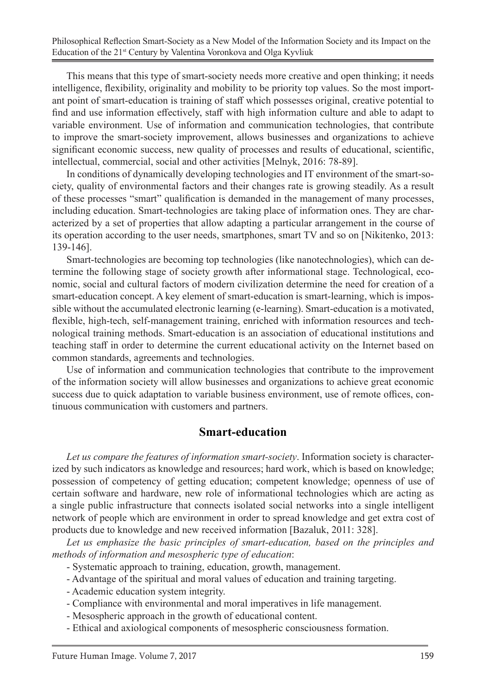Philosophical Reflection Smart-Society as a New Model of the Information Society and its Impact on the Education of the 21<sup>st</sup> Century by Valentina Voronkova and Olga Kyvliuk

This means that this type of smart-society needs more creative and open thinking; it needs intelligence, flexibility, originality and mobility to be priority top values. So the most important point of smart-education is training of staff which possesses original, creative potential to find and use information effectively, staff with high information culture and able to adapt to variable environment. Use of information and communication technologies, that contribute to improve the smart-society improvement, allows businesses and organizations to achieve significant economic success, new quality of processes and results of educational, scientific, intellectual, commercial, social and other activities [Melnyk, 2016: 78-89].

In conditions of dynamically developing technologies and IT environment of the smart-society, quality of environmental factors and their changes rate is growing steadily. As a result of these processes "smart" qualification is demanded in the management of many processes, including education. Smart-technologies are taking place of information ones. They are characterized by a set of properties that allow adapting a particular arrangement in the course of its operation according to the user needs, smartphones, smart TV and so on [Nikitenko, 2013: 139-146].

Smart-technologies are becoming top technologies (like nanotechnologies), which can determine the following stage of society growth after informational stage. Technological, economic, social and cultural factors of modern civilization determine the need for creation of a smart-education concept. A key element of smart-education is smart-learning, which is impossible without the accumulated electronic learning (e-learning). Smart-education is a motivated, flexible, high-tech, self-management training, enriched with information resources and technological training methods. Smart-education is an association of educational institutions and teaching staff in order to determine the current educational activity on the Internet based on common standards, agreements and technologies.

Use of information and communication technologies that contribute to the improvement of the information society will allow businesses and organizations to achieve great economic success due to quick adaptation to variable business environment, use of remote offices, continuous communication with customers and partners.

### **Smart-education**

*Let us compare the features of information smart-society*. Information society is characterized by such indicators as knowledge and resources; hard work, which is based on knowledge; possession of competency of getting education; competent knowledge; openness of use of certain software and hardware, new role of informational technologies which are acting as a single public infrastructure that connects isolated social networks into a single intelligent network of people which are environment in order to spread knowledge and get extra cost of products due to knowledge and new received information [Bazaluk, 2011: 328].

*Let us emphasize the basic principles of smart-education, based on the principles and methods of information and mesospheric type of education*:

- Systematic approach to training, education, growth, management.
- Advantage of the spiritual and moral values of education and training targeting.
- Academic education system integrity.
- Compliance with environmental and moral imperatives in life management.
- Mesospheric approach in the growth of educational content.
- Ethical and axiological components of mesospheric consciousness formation.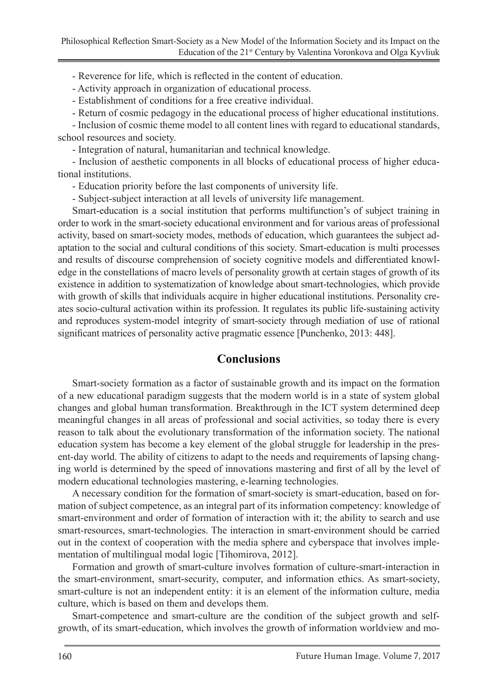- Reverence for life, which is reflected in the content of education.

- Activity approach in organization of educational process.

- Establishment of conditions for a free creative individual.

- Return of cosmic pedagogy in the educational process of higher educational institutions.

- Inclusion of cosmic theme model to all content lines with regard to educational standards, school resources and society.

- Integration of natural, humanitarian and technical knowledge.

- Inclusion of aesthetic components in all blocks of educational process of higher educational institutions.

- Education priority before the last components of university life.

- Subject-subject interaction at all levels of university life management.

Smart-education is a social institution that performs multifunction's of subject training in order to work in the smart-society educational environment and for various areas of professional activity, based on smart-society modes, methods of education, which guarantees the subject adaptation to the social and cultural conditions of this society. Smart-education is multi processes and results of discourse comprehension of society cognitive models and differentiated knowledge in the constellations of macro levels of personality growth at certain stages of growth of its existence in addition to systematization of knowledge about smart-technologies, which provide with growth of skills that individuals acquire in higher educational institutions. Personality creates socio-cultural activation within its profession. It regulates its public life-sustaining activity and reproduces system-model integrity of smart-society through mediation of use of rational significant matrices of personality active pragmatic essence [Punchenko, 2013: 448].

## **Conclusions**

Smart-society formation as a factor of sustainable growth and its impact on the formation of a new educational paradigm suggests that the modern world is in a state of system global changes and global human transformation. Breakthrough in the ICT system determined deep meaningful changes in all areas of professional and social activities, so today there is every reason to talk about the evolutionary transformation of the information society. The national education system has become a key element of the global struggle for leadership in the present-day world. The ability of citizens to adapt to the needs and requirements of lapsing changing world is determined by the speed of innovations mastering and first of all by the level of modern educational technologies mastering, e-learning technologies.

A necessary condition for the formation of smart-society is smart-education, based on formation of subject competence, as an integral part of its information competency: knowledge of smart-environment and order of formation of interaction with it; the ability to search and use smart-resources, smart-technologies. The interaction in smart-environment should be carried out in the context of cooperation with the media sphere and cyberspace that involves implementation of multilingual modal logic [Tihomirova, 2012].

Formation and growth of smart-culture involves formation of culture-smart-interaction in the smart-environment, smart-security, computer, and information ethics. As smart-society, smart-culture is not an independent entity: it is an element of the information culture, media culture, which is based on them and develops them.

Smart-competence and smart-culture are the condition of the subject growth and selfgrowth, of its smart-education, which involves the growth of information worldview and mo-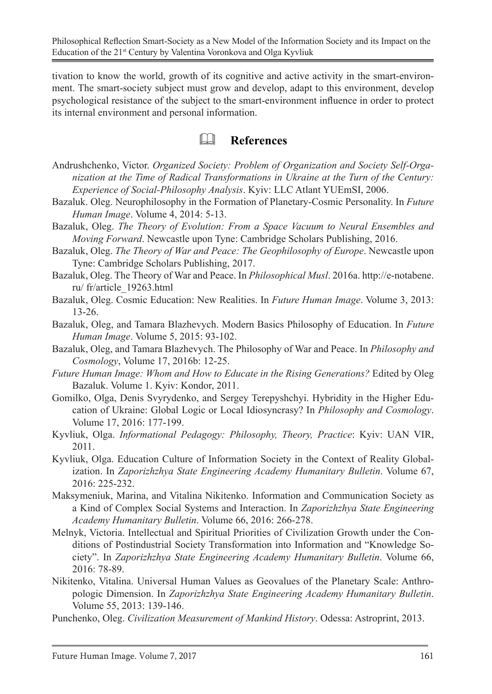tivation to know the world, growth of its cognitive and active activity in the smart-environment. The smart-society subject must grow and develop, adapt to this environment, develop psychological resistance of the subject to the smart-environment influence in order to protect its internal environment and personal information.

# **References**

- Andrushchenko, Victor. *Organized Society: Problem of Organization and Society Self-Organization at the Time of Radical Transformations in Ukraine at the Turn of the Century: Experience of Social-Philosophy Analysis*. Kyiv: LLC Atlant YUEmSI, 2006.
- Bazaluk. Oleg. Neurophilosophy in the Formation of Planetary-Cosmic Personality. In *Future Human Image*. Volume 4, 2014: 5-13.
- Bazaluk, Oleg. *The Theory of Evolution: From a Space Vacuum to Neural Ensembles and Moving Forward*. Newcastle upon Tyne: Cambridge Scholars Publishing, 2016.
- Bazaluk, Oleg. *The Theory of War and Peace: The Geophilosophy of Europe*. Newcastle upon Tyne: Cambridge Scholars Publishing, 2017.
- Bazaluk, Oleg. The Theory of War and Peace. In *Philosophical Musl*. 2016а. http://e-notabene. ru/ fr/article\_19263.html
- Bazaluk, Oleg. Cosmic Education: New Realities. In *Future Human Image*. Volume 3, 2013: 13-26.
- Bazaluk, Oleg, and Tamara Blazhevych. Modern Basics Philosophy of Education. In *Future Human Image*. Volume 5, 2015: 93-102.
- Bazaluk, Oleg, and Tamara Blazhevych. The Philosophy of War and Peace. In *Philosophy and Cosmology*, Volume 17, 2016b: 12-25.
- *Future Human Image: Whom and How to Educate in the Rising Generations?* Edited by Oleg Bazaluk. Volume 1. Kyiv: Kondor, 2011.
- Gomilko, Olga, Denis Svyrydenko, and Sergey Terepyshchyi. Hybridity in the Higher Education of Ukraine: Global Logic or Local Idiosyncrasy? In *Philosophy and Cosmology*. Volume 17, 2016: 177-199.
- Kyvliuk, Olga. *Informational Pedagogy: Philosophy, Theory, Practice*: Kyiv: UAN VIR, 2011.
- Kyvliuk, Olga. Education Culture of Information Society in the Context of Reality Globalization. In *Zaporizhzhya State Engineering Academy Humanitary Bulletin*. Volume 67, 2016: 225-232.
- Maksymeniuk, Marina, and Vitalina Nikitenko. Information and Communication Society as a Kind of Complex Social Systems and Interaction. In *Zaporizhzhya State Engineering Academy Humanitary Bulletin*. Volume 66, 2016: 266-278.
- Melnyk, Victoria. Intellectual and Spiritual Priorities of Civilization Growth under the Conditions of Postindustrial Society Transformation into Information and "Knowledge Society". In *Zaporizhzhya State Engineering Academy Humanitary Bulletin*. Volume 66, 2016: 78-89.
- Nikitenko, Vitalina. Universal Human Values as Geovalues of the Planetary Scale: Anthropologic Dimension. In *Zaporizhzhya State Engineering Academy Humanitary Bulletin*. Volume 55, 2013: 139-146.
- Punchenko, Oleg. *Civilization Measurement of Mankind History*. Odessa: Astroprint, 2013.